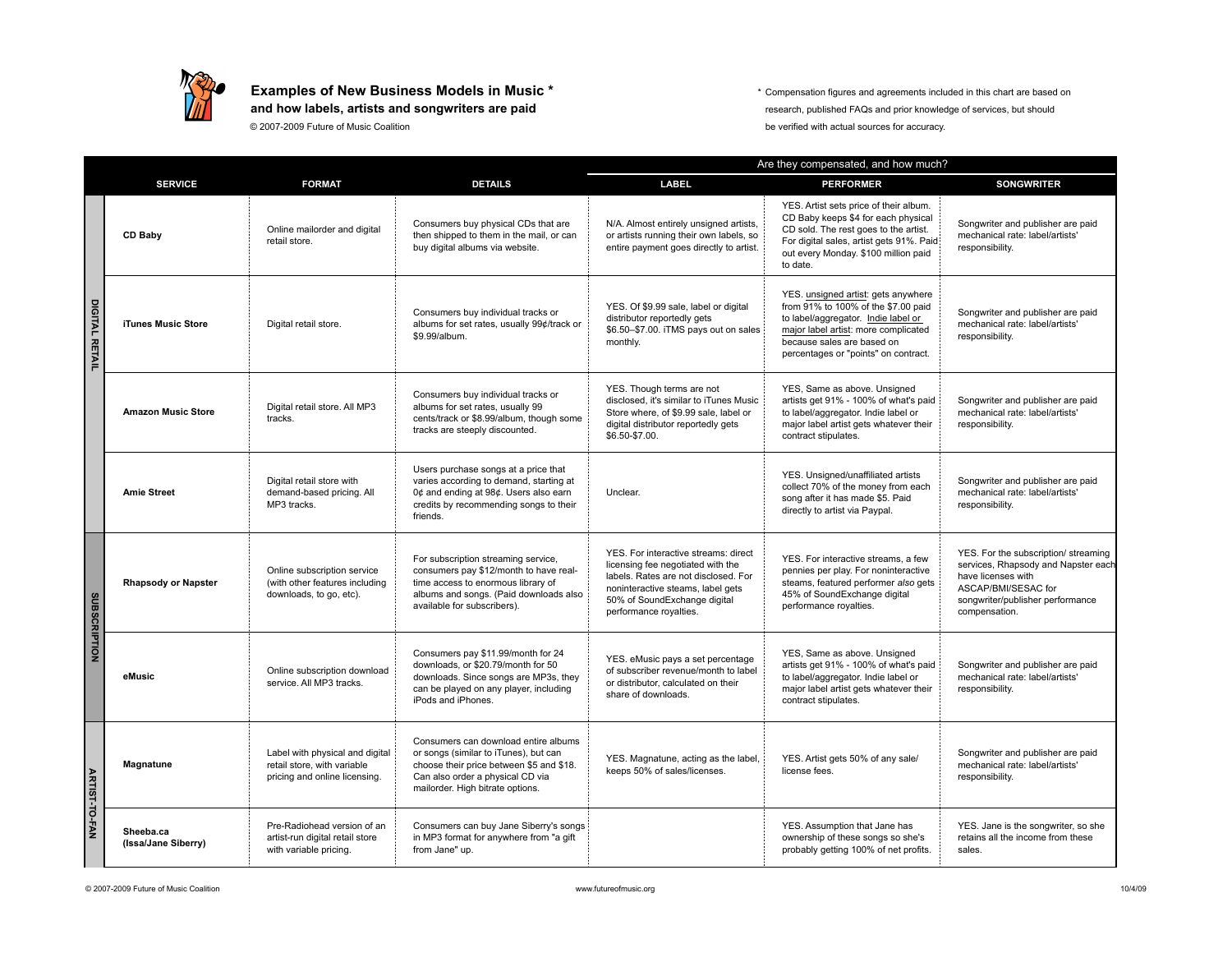

**Examples of New Business Models in Music \*** *Compensation figures and agreements included in this chart are based on***<br>
<b>and how labels, artists and songwriters are paid and the state of the state of the state of the st** research, published FAQs and prior knowledge of services, but should © 2007-2009 Future of Music Coalition be verified with actual sources for accuracy.

|                       |                                  |                                                                                                 |                                                                                                                                                                                                   | Are they compensated, and how much?                                                                                                                                                                              |                                                                                                                                                                                                                                 |                                                                                                                                                                               |
|-----------------------|----------------------------------|-------------------------------------------------------------------------------------------------|---------------------------------------------------------------------------------------------------------------------------------------------------------------------------------------------------|------------------------------------------------------------------------------------------------------------------------------------------------------------------------------------------------------------------|---------------------------------------------------------------------------------------------------------------------------------------------------------------------------------------------------------------------------------|-------------------------------------------------------------------------------------------------------------------------------------------------------------------------------|
|                       | <b>SERVICE</b>                   | <b>FORMAT</b>                                                                                   | <b>DETAILS</b>                                                                                                                                                                                    | <b>LABEL</b>                                                                                                                                                                                                     | <b>PERFORMER</b>                                                                                                                                                                                                                | <b>SONGWRITER</b>                                                                                                                                                             |
| <b>DIGITAL RETAIL</b> | <b>CD Baby</b>                   | Online mailorder and digital<br>retail store.                                                   | Consumers buy physical CDs that are<br>then shipped to them in the mail, or can<br>buy digital albums via website.                                                                                | N/A. Almost entirely unsigned artists,<br>or artists running their own labels, so<br>entire payment goes directly to artist.                                                                                     | YES. Artist sets price of their album.<br>CD Baby keeps \$4 for each physical<br>CD sold. The rest goes to the artist.<br>For digital sales, artist gets 91%. Paid:<br>out every Monday. \$100 million paid<br>to date.         | Songwriter and publisher are paid<br>mechanical rate: label/artists'<br>responsibility.                                                                                       |
|                       | <b>iTunes Music Store</b>        | Digital retail store.                                                                           | Consumers buy individual tracks or<br>albums for set rates, usually 99¢/track or<br>\$9.99/album.                                                                                                 | YES. Of \$9.99 sale, label or digital<br>distributor reportedly gets<br>\$6.50-\$7.00. iTMS pays out on sales<br>monthly.                                                                                        | YES. unsigned artist: gets anywhere<br>from 91% to 100% of the \$7.00 paid<br>to label/aggregator. Indie label or<br>major label artist: more complicated<br>because sales are based on<br>percentages or "points" on contract. | Songwriter and publisher are paid<br>mechanical rate: label/artists'<br>responsibility.                                                                                       |
|                       | <b>Amazon Music Store</b>        | Digital retail store. All MP3<br>tracks.                                                        | Consumers buy individual tracks or<br>albums for set rates, usually 99<br>cents/track or \$8.99/album, though some<br>tracks are steeply discounted.                                              | YES. Though terms are not<br>disclosed, it's similar to iTunes Music<br>Store where, of \$9.99 sale, label or<br>digital distributor reportedly gets<br>\$6.50-\$7.00.                                           | YES, Same as above. Unsigned<br>artists get 91% - 100% of what's paid<br>to label/aggregator. Indie label or<br>major label artist gets whatever their<br>contract stipulates.                                                  | Songwriter and publisher are paid<br>mechanical rate: label/artists'<br>responsibility.                                                                                       |
|                       | <b>Amie Street</b>               | Digital retail store with<br>demand-based pricing. All<br>MP3 tracks.                           | Users purchase songs at a price that<br>varies according to demand, starting at<br>0¢ and ending at 98¢. Users also earn<br>credits by recommending songs to their<br>friends.                    | Unclear.                                                                                                                                                                                                         | YES. Unsigned/unaffiliated artists<br>collect 70% of the money from each<br>song after it has made \$5. Paid<br>directly to artist via Paypal.                                                                                  | Songwriter and publisher are paid<br>mechanical rate: label/artists'<br>responsibility.                                                                                       |
| SUBSCRIPTION          | <b>Rhapsody or Napster</b>       | Online subscription service<br>(with other features including<br>downloads, to go, etc).        | For subscription streaming service,<br>consumers pay \$12/month to have real-<br>time access to enormous library of<br>albums and songs. (Paid downloads also<br>available for subscribers).      | YES. For interactive streams: direct<br>licensing fee negotiated with the<br>labels. Rates are not disclosed. For<br>noninteractive steams, label gets<br>50% of SoundExchange digital<br>performance royalties. | YES. For interactive streams, a few<br>pennies per play. For noninteractive<br>steams, featured performer also gets<br>45% of SoundExchange digital<br>performance royalties.                                                   | YES. For the subscription/ streaming<br>services, Rhapsody and Napster each<br>have licenses with<br>ASCAP/BMI/SESAC for<br>songwriter/publisher performance<br>compensation. |
|                       | eMusic                           | Online subscription download<br>service. All MP3 tracks.                                        | Consumers pay \$11.99/month for 24<br>downloads, or \$20.79/month for 50<br>downloads. Since songs are MP3s, they<br>can be played on any player, including<br>iPods and iPhones.                 | YES. eMusic pays a set percentage<br>of subscriber revenue/month to label<br>or distributor, calculated on their<br>share of downloads.                                                                          | YES, Same as above. Unsigned<br>artists get 91% - 100% of what's paid<br>to label/aggregator. Indie label or<br>major label artist gets whatever their<br>contract stipulates.                                                  | Songwriter and publisher are paid<br>mechanical rate: label/artists'<br>responsibility.                                                                                       |
| <b>ARTIST-TO-FAN</b>  | Magnatune                        | Label with physical and digital<br>retail store, with variable<br>pricing and online licensing. | Consumers can download entire albums<br>or songs (similar to iTunes), but can<br>choose their price between \$5 and \$18.<br>Can also order a physical CD via<br>mailorder. High bitrate options. | YES. Magnatune, acting as the label,<br>keeps 50% of sales/licenses.                                                                                                                                             | YES. Artist gets 50% of any sale/<br>license fees.                                                                                                                                                                              | Songwriter and publisher are paid<br>mechanical rate: label/artists'<br>responsibility.                                                                                       |
|                       | Sheeba.ca<br>(Issa/Jane Siberry) | Pre-Radiohead version of an<br>artist-run digital retail store<br>with variable pricing.        | Consumers can buy Jane Siberry's songs<br>in MP3 format for anywhere from "a gift<br>from Jane" up.                                                                                               |                                                                                                                                                                                                                  | YES. Assumption that Jane has<br>ownership of these songs so she's<br>probably getting 100% of net profits.                                                                                                                     | YES. Jane is the songwriter, so she<br>retains all the income from these<br>sales.                                                                                            |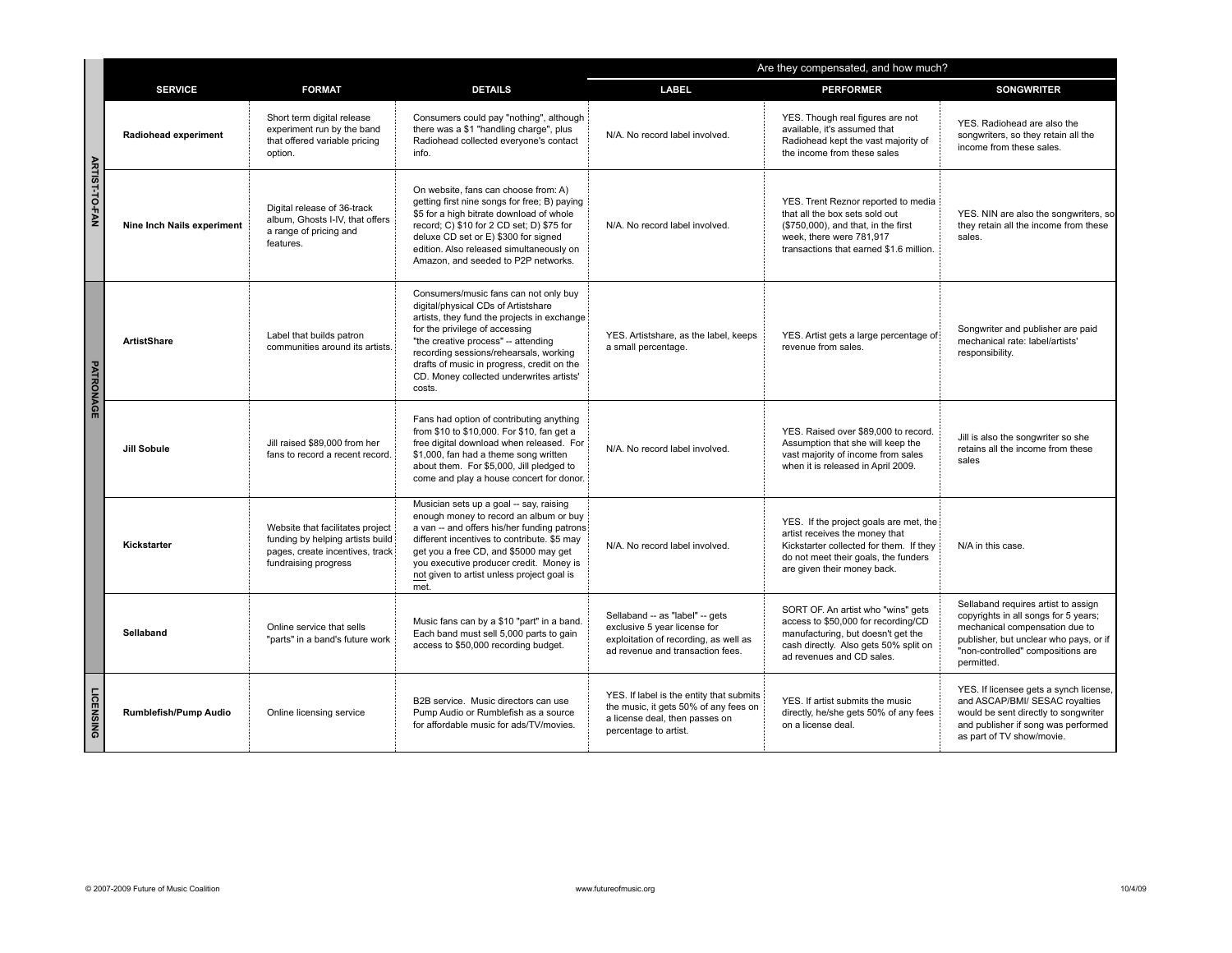|                  |                              |                                                                                                                                 |                                                                                                                                                                                                                                                                                                                                                    | Are they compensated, and how much?                                                                                                          |                                                                                                                                                                                            |                                                                                                                                                                                                            |
|------------------|------------------------------|---------------------------------------------------------------------------------------------------------------------------------|----------------------------------------------------------------------------------------------------------------------------------------------------------------------------------------------------------------------------------------------------------------------------------------------------------------------------------------------------|----------------------------------------------------------------------------------------------------------------------------------------------|--------------------------------------------------------------------------------------------------------------------------------------------------------------------------------------------|------------------------------------------------------------------------------------------------------------------------------------------------------------------------------------------------------------|
|                  | <b>SERVICE</b>               | <b>FORMAT</b>                                                                                                                   | <b>DETAILS</b>                                                                                                                                                                                                                                                                                                                                     | <b>LABEL</b>                                                                                                                                 | <b>PERFORMER</b>                                                                                                                                                                           | <b>SONGWRITER</b>                                                                                                                                                                                          |
|                  | Radiohead experiment         | Short term digital release<br>experiment run by the band<br>that offered variable pricing<br>option.                            | Consumers could pay "nothing", although<br>there was a \$1 "handling charge", plus<br>Radiohead collected everyone's contact<br>info.                                                                                                                                                                                                              | N/A. No record label involved.                                                                                                               | YES. Though real figures are not<br>available, it's assumed that<br>Radiohead kept the vast majority of<br>the income from these sales                                                     | YES. Radiohead are also the<br>songwriters, so they retain all the<br>income from these sales.                                                                                                             |
| ARTIST-TO-FAN    | Nine Inch Nails experiment   | Digital release of 36-track<br>album, Ghosts I-IV, that offers<br>a range of pricing and<br>features.                           | On website, fans can choose from: A)<br>getting first nine songs for free; B) paying<br>\$5 for a high bitrate download of whole<br>record; C) \$10 for 2 CD set; D) \$75 for<br>deluxe CD set or E) \$300 for signed<br>edition. Also released simultaneously on<br>Amazon, and seeded to P2P networks.                                           | N/A. No record label involved.                                                                                                               | YES. Trent Reznor reported to media<br>that all the box sets sold out<br>(\$750,000), and that, in the first<br>week, there were 781,917<br>transactions that earned \$1.6 million.        | YES. NIN are also the songwriters, so<br>they retain all the income from these<br>sales.                                                                                                                   |
| PATRONAGE        | <b>ArtistShare</b>           | Label that builds patron<br>communities around its artists.                                                                     | Consumers/music fans can not only buy<br>digital/physical CDs of Artistshare<br>artists, they fund the projects in exchange<br>for the privilege of accessing<br>"the creative process" -- attending<br>recording sessions/rehearsals, working<br>drafts of music in progress, credit on the<br>CD. Money collected underwrites artists'<br>costs. | YES. Artistshare, as the label, keeps<br>a small percentage.                                                                                 | YES. Artist gets a large percentage of<br>revenue from sales.                                                                                                                              | Songwriter and publisher are paid<br>mechanical rate: label/artists<br>responsibility.                                                                                                                     |
|                  | Jill Sobule                  | Jill raised \$89,000 from her<br>fans to record a recent record.                                                                | Fans had option of contributing anything<br>from \$10 to \$10,000. For \$10, fan get a<br>free digital download when released. For<br>\$1,000, fan had a theme song written<br>about them. For \$5,000, Jill pledged to<br>come and play a house concert for donor.                                                                                | N/A. No record label involved.                                                                                                               | YES. Raised over \$89,000 to record.<br>Assumption that she will keep the<br>vast majority of income from sales<br>when it is released in April 2009.                                      | Jill is also the songwriter so she<br>retains all the income from these<br>sales                                                                                                                           |
|                  | Kickstarter                  | Website that facilitates project<br>funding by helping artists build<br>pages, create incentives, track<br>fundraising progress | Musician sets up a goal -- say, raising<br>enough money to record an album or buy<br>a van -- and offers his/her funding patrons<br>different incentives to contribute. \$5 may<br>get you a free CD, and \$5000 may get<br>you executive producer credit. Money is<br>not given to artist unless project goal is<br>met.                          | N/A. No record label involved.                                                                                                               | YES. If the project goals are met, the<br>artist receives the money that<br>Kickstarter collected for them. If they<br>do not meet their goals, the funders<br>are given their money back. | N/A in this case.                                                                                                                                                                                          |
|                  | Sellaband                    | Online service that sells<br>"parts" in a band's future work                                                                    | Music fans can by a \$10 "part" in a band.<br>Each band must sell 5,000 parts to gain<br>access to \$50,000 recording budget.                                                                                                                                                                                                                      | Sellaband -- as "label" -- gets<br>exclusive 5 year license for<br>exploitation of recording, as well as<br>ad revenue and transaction fees. | SORT OF. An artist who "wins" gets<br>access to \$50,000 for recording/CD<br>manufacturing, but doesn't get the<br>cash directly. Also gets 50% split on<br>ad revenues and CD sales.      | Sellaband requires artist to assign<br>copyrights in all songs for 5 years;<br>mechanical compensation due to<br>publisher, but unclear who pays, or if<br>"non-controlled" compositions are<br>permitted. |
| <b>LICENSING</b> | <b>Rumblefish/Pump Audio</b> | Online licensing service                                                                                                        | B2B service. Music directors can use<br>Pump Audio or Rumblefish as a source<br>for affordable music for ads/TV/movies.                                                                                                                                                                                                                            | YES. If label is the entity that submits<br>the music, it gets 50% of any fees on<br>a license deal, then passes on<br>percentage to artist. | YES. If artist submits the music<br>directly, he/she gets 50% of any fees<br>on a license deal.                                                                                            | YES. If licensee gets a synch license,<br>and ASCAP/BMI/ SESAC royalties<br>would be sent directly to songwriter<br>and publisher if song was performed<br>as part of TV show/movie.                       |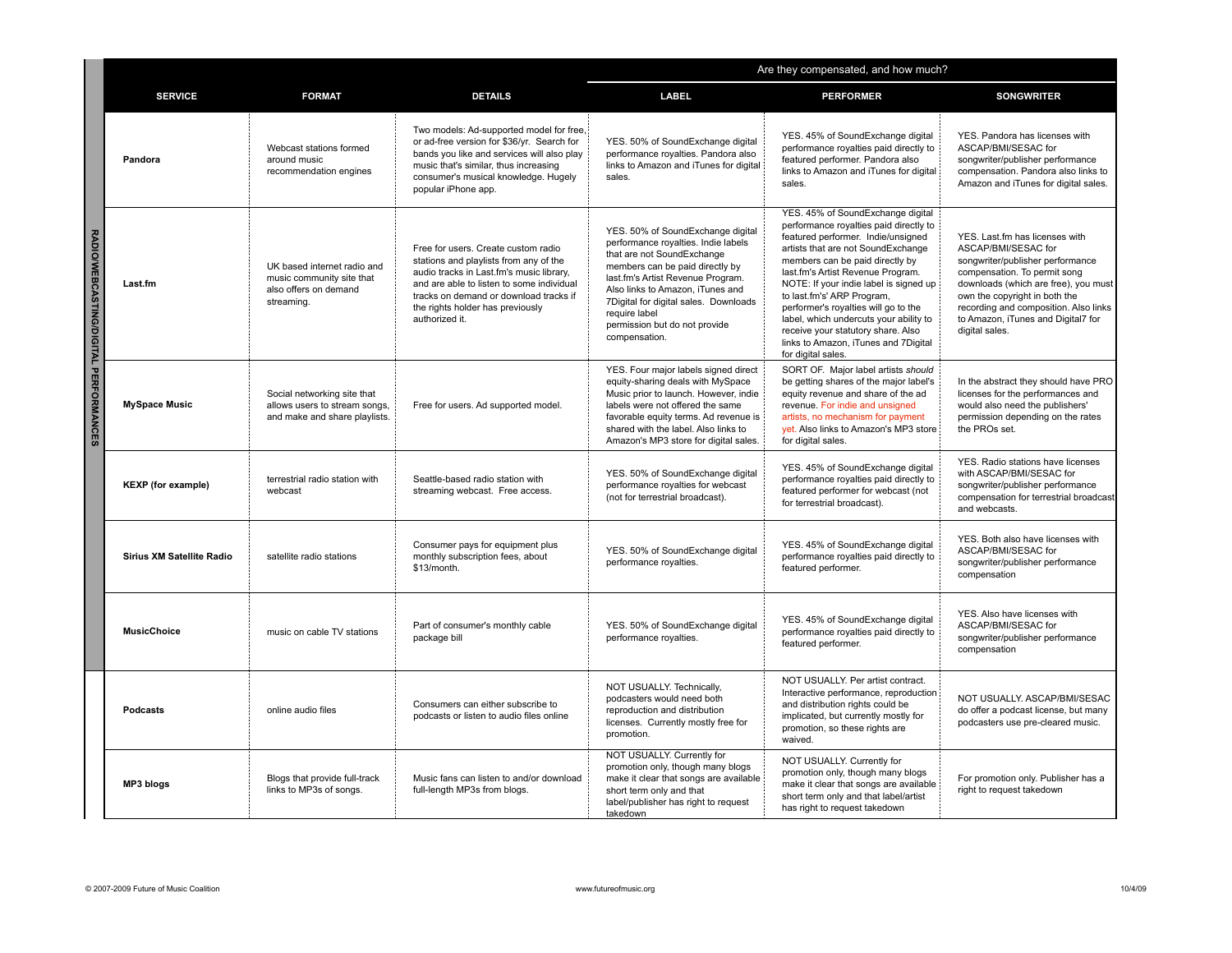|                                       |                                  |                                                                                                 |                                                                                                                                                                                                                                                                        | Are they compensated, and how much?                                                                                                                                                                                                                                                                                            |                                                                                                                                                                                                                                                                                                                                                                                                                                                                                               |                                                                                                                                                                                                                                                                                                     |
|---------------------------------------|----------------------------------|-------------------------------------------------------------------------------------------------|------------------------------------------------------------------------------------------------------------------------------------------------------------------------------------------------------------------------------------------------------------------------|--------------------------------------------------------------------------------------------------------------------------------------------------------------------------------------------------------------------------------------------------------------------------------------------------------------------------------|-----------------------------------------------------------------------------------------------------------------------------------------------------------------------------------------------------------------------------------------------------------------------------------------------------------------------------------------------------------------------------------------------------------------------------------------------------------------------------------------------|-----------------------------------------------------------------------------------------------------------------------------------------------------------------------------------------------------------------------------------------------------------------------------------------------------|
|                                       | <b>SERVICE</b>                   | <b>FORMAT</b>                                                                                   | <b>DETAILS</b>                                                                                                                                                                                                                                                         | LABEL                                                                                                                                                                                                                                                                                                                          | <b>PERFORMER</b>                                                                                                                                                                                                                                                                                                                                                                                                                                                                              | <b>SONGWRITER</b>                                                                                                                                                                                                                                                                                   |
| RADIO/WEBCASTING/DIGITAL PERFORMANCES | Pandora                          | Webcast stations formed<br>around music<br>recommendation engines                               | Two models: Ad-supported model for free,<br>or ad-free version for \$36/yr. Search for<br>bands you like and services will also play<br>music that's similar, thus increasing<br>consumer's musical knowledge. Hugely<br>popular iPhone app.                           | YES. 50% of SoundExchange digital<br>performance royalties. Pandora also<br>links to Amazon and iTunes for digital<br>sales.                                                                                                                                                                                                   | YES. 45% of SoundExchange digital<br>performance royalties paid directly to<br>featured performer. Pandora also<br>links to Amazon and iTunes for digital<br>sales.                                                                                                                                                                                                                                                                                                                           | YES. Pandora has licenses with<br>ASCAP/BMI/SESAC for<br>songwriter/publisher performance<br>compensation. Pandora also links to<br>Amazon and iTunes for digital sales.                                                                                                                            |
|                                       | Last.fm                          | UK based internet radio and<br>music community site that<br>also offers on demand<br>streaming. | Free for users. Create custom radio<br>stations and playlists from any of the<br>audio tracks in Last.fm's music library,<br>and are able to listen to some individual<br>tracks on demand or download tracks if<br>the rights holder has previously<br>authorized it. | YES. 50% of SoundExchange digital<br>performance royalties. Indie labels<br>that are not SoundExchange<br>members can be paid directly by<br>last.fm's Artist Revenue Program.<br>Also links to Amazon, iTunes and<br>7Digital for digital sales. Downloads<br>require label<br>permission but do not provide<br>compensation. | YES. 45% of SoundExchange digital<br>performance royalties paid directly to<br>featured performer. Indie/unsigned<br>artists that are not SoundExchange<br>members can be paid directly by<br>last.fm's Artist Revenue Program.<br>NOTE: If your indie label is signed up<br>to last.fm's' ARP Program,<br>performer's royalties will go to the<br>label, which undercuts your ability to<br>receive your statutory share. Also<br>links to Amazon, iTunes and 7Digital<br>for digital sales. | YES. Last.fm has licenses with<br>ASCAP/BMI/SESAC for<br>songwriter/publisher performance<br>compensation. To permit song<br>downloads (which are free), you must<br>own the copyright in both the<br>recording and composition. Also links<br>to Amazon, iTunes and Digital7 for<br>digital sales. |
|                                       | <b>MySpace Music</b>             | Social networking site that<br>allows users to stream songs,<br>and make and share playlists.   | Free for users. Ad supported model.                                                                                                                                                                                                                                    | YES. Four major labels signed direct<br>equity-sharing deals with MySpace<br>Music prior to launch. However, indie<br>labels were not offered the same<br>favorable equity terms. Ad revenue is<br>shared with the label. Also links to<br>Amazon's MP3 store for digital sales.                                               | SORT OF. Major label artists should<br>be getting shares of the major label's<br>equity revenue and share of the ad<br>revenue. For indie and unsigned<br>artists, no mechanism for payment<br>yet. Also links to Amazon's MP3 store<br>for digital sales.                                                                                                                                                                                                                                    | In the abstract they should have PRO<br>licenses for the performances and<br>would also need the publishers'<br>permission depending on the rates<br>the PROs set.                                                                                                                                  |
|                                       | <b>KEXP</b> (for example)        | terrestrial radio station with<br>webcast                                                       | Seattle-based radio station with<br>streaming webcast. Free access.                                                                                                                                                                                                    | YES. 50% of SoundExchange digital<br>performance royalties for webcast<br>(not for terrestrial broadcast).                                                                                                                                                                                                                     | YES. 45% of SoundExchange digital<br>performance royalties paid directly to<br>featured performer for webcast (not<br>for terrestrial broadcast).                                                                                                                                                                                                                                                                                                                                             | YES. Radio stations have licenses<br>with ASCAP/BMI/SESAC for<br>songwriter/publisher performance<br>compensation for terrestrial broadcast<br>and webcasts.                                                                                                                                        |
|                                       | <b>Sirius XM Satellite Radio</b> | satellite radio stations                                                                        | Consumer pays for equipment plus<br>monthly subscription fees, about<br>\$13/month.                                                                                                                                                                                    | YES. 50% of SoundExchange digital<br>performance royalties.                                                                                                                                                                                                                                                                    | YES. 45% of SoundExchange digital<br>performance royalties paid directly to<br>featured performer.                                                                                                                                                                                                                                                                                                                                                                                            | YES. Both also have licenses with<br>ASCAP/BMI/SESAC for<br>songwriter/publisher performance<br>compensation                                                                                                                                                                                        |
|                                       | <b>MusicChoice</b>               | music on cable TV stations                                                                      | Part of consumer's monthly cable<br>package bill                                                                                                                                                                                                                       | YES. 50% of SoundExchange digital<br>performance royalties.                                                                                                                                                                                                                                                                    | YES. 45% of SoundExchange digital<br>performance royalties paid directly to<br>featured performer.                                                                                                                                                                                                                                                                                                                                                                                            | YES. Also have licenses with<br>ASCAP/BMI/SESAC for<br>songwriter/publisher performance<br>compensation                                                                                                                                                                                             |
|                                       | <b>Podcasts</b>                  | online audio files                                                                              | Consumers can either subscribe to<br>podcasts or listen to audio files online                                                                                                                                                                                          | NOT USUALLY. Technically,<br>podcasters would need both<br>reproduction and distribution<br>licenses. Currently mostly free for<br>promotion.                                                                                                                                                                                  | NOT USUALLY. Per artist contract.<br>Interactive performance, reproduction<br>and distribution rights could be<br>implicated, but currently mostly for<br>promotion, so these rights are<br>waived.                                                                                                                                                                                                                                                                                           | NOT USUALLY, ASCAP/BMI/SESAC<br>do offer a podcast license, but many<br>podcasters use pre-cleared music.                                                                                                                                                                                           |
|                                       | MP3 blogs                        | Blogs that provide full-track<br>links to MP3s of songs.                                        | Music fans can listen to and/or download<br>full-length MP3s from blogs.                                                                                                                                                                                               | NOT USUALLY. Currently for<br>promotion only, though many blogs<br>make it clear that songs are available<br>short term only and that<br>label/publisher has right to request<br>takedown                                                                                                                                      | NOT USUALLY. Currently for<br>promotion only, though many blogs<br>make it clear that songs are available<br>short term only and that label/artist<br>has right to request takedown                                                                                                                                                                                                                                                                                                           | For promotion only. Publisher has a<br>right to request takedown                                                                                                                                                                                                                                    |